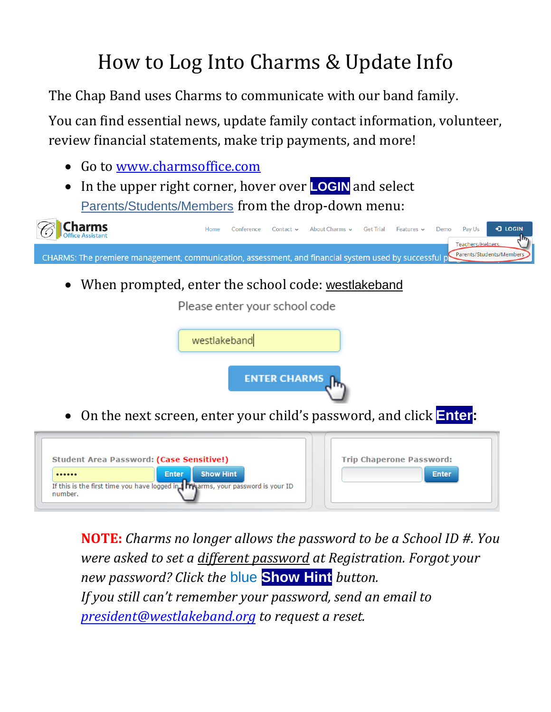## How to Log Into Charms & Update Info

The Chap Band uses Charms to communicate with our band family.

You can find essential news, update family contact information, volunteer, review financial statements, make trip payments, and more!

- Go to [www.charmsoffice.com](http://www.charmsoffice.com/)
- In the upper right corner, hover over **LOGIN** and select Parents/Students/Members from the drop-down menu:



**NOTE:** *Charms no longer allows the password to be a School ID #. You were asked to set a different password at Registration. Forgot your new password? Click the* blue **Show Hint** *button. If you still can't remember your password, send an email to [president@westlakeband.o](mailto:president@westlakeband.org)rg to request a reset.*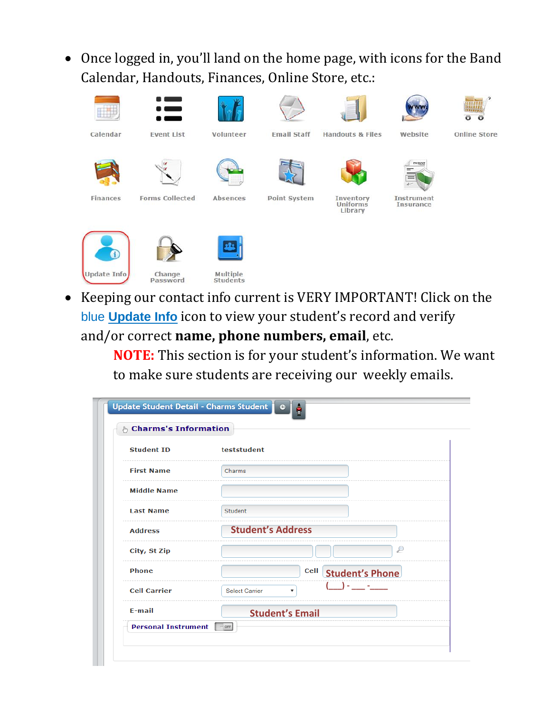Once logged in, you'll land on the home page, with icons for the Band Calendar, Handouts, Finances, Online Store, etc.:



 Keeping our contact info current is VERY IMPORTANT! Click on the blue **Update Info** icon to view your student's record and verify and/or correct **name, phone numbers, email**, etc.

> **NOTE:** This section is for your student's information. We want to make sure students are receiving our weekly emails.

| & Charms's Information |                                             |  |  |
|------------------------|---------------------------------------------|--|--|
| <b>Student ID</b>      | teststudent                                 |  |  |
| <b>First Name</b>      | Charms                                      |  |  |
| <b>Middle Name</b>     |                                             |  |  |
| <b>Last Name</b>       | <b>Student</b>                              |  |  |
| <b>Address</b>         | <b>Student's Address</b>                    |  |  |
| City, St Zip           | D                                           |  |  |
| <b>Phone</b>           | Cell Student's Phone                        |  |  |
| <b>Cell Carrier</b>    | $\sim$ $\sim$<br><b>Select Carrier</b><br>▼ |  |  |
| $E$ -mail              | <b>Student's Email</b>                      |  |  |